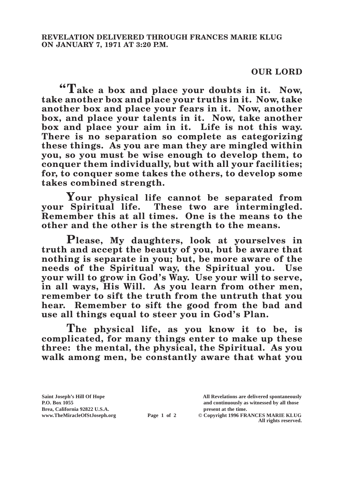## **OUR LORD**

**"Take a box and place your doubts in it. Now, take another box and place your truths in it. Now, take another box and place your fears in it. Now, another box, and place your talents in it. Now, take another box and place your aim in it. Life is not this way. There is no separation so complete as categorizing these things. As you are man they are mingled within you, so you must be wise enough to develop them, to conquer them individually, but with all your facilities; for, to conquer some takes the others, to develop some takes combined strength.**

**Your physical life cannot be separated from your Spiritual life. These two are intermingled. Remember this at all times. One is the means to the other and the other is the strength to the means.**

**Please, My daughters, look at yourselves in truth and accept the beauty of you, but be aware that nothing is separate in you; but, be more aware of the needs of the Spiritual way, the Spiritual you. Use your will to grow in God's Way. Use your will to serve, in all ways, His Will. As you learn from other men, remember to sift the truth from the untruth that you hear. Remember to sift the good from the bad and use all things equal to steer you in God's Plan.**

**The physical life, as you know it to be, is complicated, for many things enter to make up these three: the mental, the physical, the Spiritual. As you walk among men, be constantly aware that what you** 

**Brea, California 92822 U.S.A. present at the time.**<br> **present at the time.**<br> **present at the time.**<br> **Page 1 of 2** © Copyright 1996 FR.

**Saint Joseph's Hill Of Hope All Revelations are delivered spontaneously P.O. Box 1055 and continuously as witnessed by all those** 

**Page 1 of 2** © Copyright 1996 FRANCES MARIE KLUG **All rights reserved.**